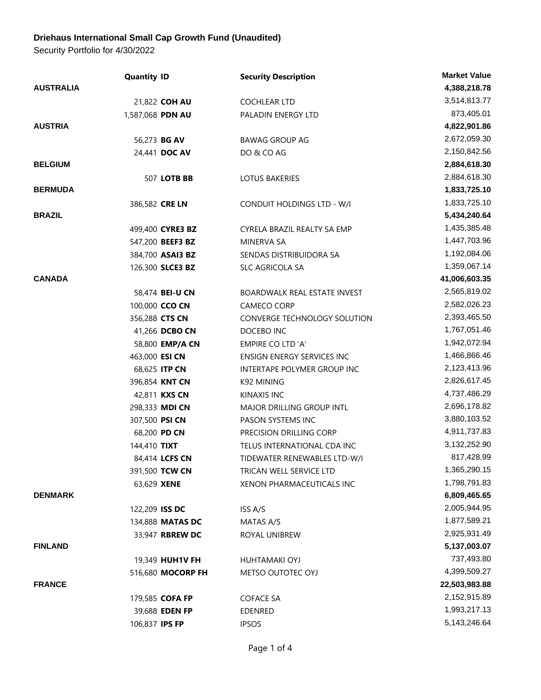## **Driehaus International Small Cap Growth Fund (Unaudited)**

Security Portfolio for 4/30/2022

|                  | <b>Quantity ID</b> | <b>Security Description</b>         | <b>Market Value</b> |
|------------------|--------------------|-------------------------------------|---------------------|
| <b>AUSTRALIA</b> |                    |                                     | 4,388,218.78        |
|                  | 21,822 COH AU      | <b>COCHLEAR LTD</b>                 | 3,514,813.77        |
|                  | 1,587,068 PDN AU   | PALADIN ENERGY LTD                  | 873,405.01          |
| <b>AUSTRIA</b>   |                    |                                     | 4,822,901.86        |
|                  | 56,273 BG AV       | <b>BAWAG GROUP AG</b>               | 2,672,059.30        |
|                  | 24,441 DOC AV      | DO & CO AG                          | 2,150,842.56        |
| <b>BELGIUM</b>   |                    |                                     | 2,884,618.30        |
|                  | 507 LOTB BB        | <b>LOTUS BAKERIES</b>               | 2,884,618.30        |
| <b>BERMUDA</b>   |                    |                                     | 1,833,725.10        |
|                  | 386,582 CRE LN     | <b>CONDUIT HOLDINGS LTD - W/I</b>   | 1,833,725.10        |
| <b>BRAZIL</b>    |                    |                                     | 5,434,240.64        |
|                  | 499,400 CYRE3 BZ   | CYRELA BRAZIL REALTY SA EMP         | 1,435,385.48        |
|                  | 547,200 BEEF3 BZ   | <b>MINERVA SA</b>                   | 1,447,703.96        |
|                  | 384,700 ASAI3 BZ   | SENDAS DISTRIBUIDORA SA             | 1,192,084.06        |
|                  | 126,300 SLCE3 BZ   | SLC AGRICOLA SA                     | 1,359,067.14        |
| <b>CANADA</b>    |                    |                                     | 41,006,603.35       |
|                  | 58,474 BEI-U CN    | <b>BOARDWALK REAL ESTATE INVEST</b> | 2,565,819.02        |
|                  | 100,000 CCO CN     | <b>CAMECO CORP</b>                  | 2,582,026.23        |
|                  | 356,288 CTS CN     | CONVERGE TECHNOLOGY SOLUTION        | 2,393,465.50        |
|                  | 41,266 DCBO CN     | DOCEBO INC                          | 1,767,051.46        |
|                  | 58,800 EMP/A CN    | EMPIRE CO LTD 'A'                   | 1,942,072.94        |
|                  | 463,000 ESI CN     | ENSIGN ENERGY SERVICES INC          | 1,466,866.46        |
|                  | 68,625 ITP CN      | INTERTAPE POLYMER GROUP INC         | 2,123,413.96        |
|                  | 396,854 KNT CN     | K92 MINING                          | 2,826,617.45        |
|                  | 42,811 KXS CN      | KINAXIS INC                         | 4,737,486.29        |
|                  | 298,333 MDI CN     | MAJOR DRILLING GROUP INTL           | 2,696,178.82        |
|                  | 307,500 PSI CN     | PASON SYSTEMS INC                   | 3,880,103.52        |
|                  | 68,200 PD CN       | PRECISION DRILLING CORP             | 4,911,737.83        |
|                  | 144,410 TIXT       | TELUS INTERNATIONAL CDA INC         | 3,132,252.90        |
|                  | 84,414 LCFS CN     | TIDEWATER RENEWABLES LTD-W/I        | 817,428.99          |
|                  | 391,500 TCW CN     | TRICAN WELL SERVICE LTD             | 1,365,290.15        |
|                  | 63,629 XENE        | XENON PHARMACEUTICALS INC           | 1,798,791.83        |
| <b>DENMARK</b>   |                    |                                     | 6,809,465.65        |
|                  | 122,209 ISS DC     | ISS A/S                             | 2,005,944.95        |
|                  | 134,888 MATAS DC   | MATAS A/S                           | 1,877,589.21        |
|                  | 33,947 RBREW DC    | ROYAL UNIBREW                       | 2,925,931.49        |
| <b>FINLAND</b>   |                    |                                     | 5,137,003.07        |
|                  | 19,349 HUH1V FH    | <b>HUHTAMAKI OYJ</b>                | 737,493.80          |
|                  | 516,680 MOCORP FH  | METSO OUTOTEC OYJ                   | 4,399,509.27        |
| <b>FRANCE</b>    |                    |                                     | 22,503,983.88       |
|                  | 179,585 COFA FP    | <b>COFACE SA</b>                    | 2,152,915.89        |
|                  | 39,688 EDEN FP     | <b>EDENRED</b>                      | 1,993,217.13        |
|                  | 106,837 IPS FP     | <b>IPSOS</b>                        | 5, 143, 246. 64     |
|                  |                    |                                     |                     |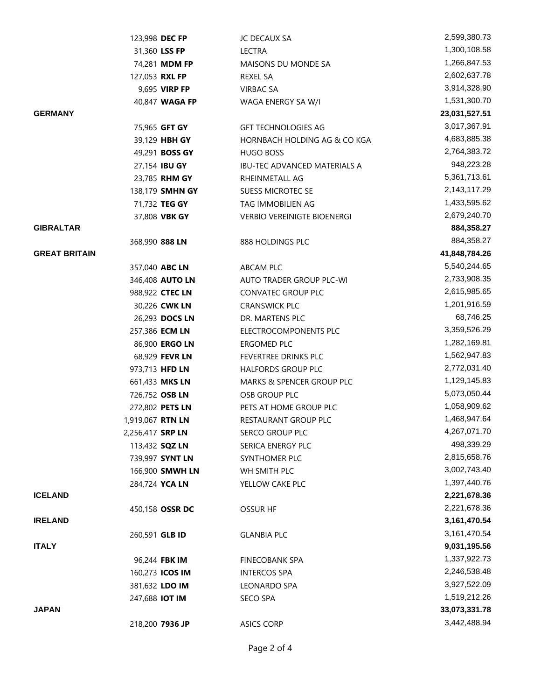|                      | 123,998 DEC FP          |                | JC DECAUX SA                        | 2,599,380.73    |
|----------------------|-------------------------|----------------|-------------------------------------|-----------------|
|                      | 31,360 LSS FP           |                | <b>LECTRA</b>                       | 1,300,108.58    |
|                      | 74,281 <b>MDM FP</b>    |                | MAISONS DU MONDE SA                 | 1,266,847.53    |
|                      | 127,053 RXL FP          |                | REXEL SA                            | 2,602,637.78    |
|                      | 9,695 VIRP FP           |                | <b>VIRBAC SA</b>                    | 3,914,328.90    |
|                      |                         | 40,847 WAGA FP | WAGA ENERGY SA W/I                  | 1,531,300.70    |
| <b>GERMANY</b>       |                         |                |                                     | 23,031,527.51   |
|                      | 75,965 GFT GY           |                | <b>GFT TECHNOLOGIES AG</b>          | 3,017,367.91    |
|                      | 39,129 HBH GY           |                | HORNBACH HOLDING AG & CO KGA        | 4,683,885.38    |
|                      | 49,291 BOSS GY          |                | HUGO BOSS                           | 2,764,383.72    |
|                      | 27,154 IBU GY           |                | <b>IBU-TEC ADVANCED MATERIALS A</b> | 948,223.28      |
|                      | 23,785 RHM GY           |                | RHEINMETALL AG                      | 5,361,713.61    |
|                      | 138,179 SMHN GY         |                | SUESS MICROTEC SE                   | 2,143,117.29    |
|                      | 71,732 TEG GY           |                | TAG IMMOBILIEN AG                   | 1,433,595.62    |
|                      | 37,808 VBK GY           |                | <b>VERBIO VEREINIGTE BIOENERGI</b>  | 2,679,240.70    |
| <b>GIBRALTAR</b>     |                         |                |                                     | 884,358.27      |
|                      | 368,990 888 LN          |                | 888 HOLDINGS PLC                    | 884,358.27      |
| <b>GREAT BRITAIN</b> |                         |                |                                     | 41,848,784.26   |
|                      | 357,040 ABC LN          |                | ABCAM PLC                           | 5,540,244.65    |
|                      | 346,408 AUTO LN         |                | AUTO TRADER GROUP PLC-WI            | 2,733,908.35    |
|                      | 988,922 CTEC LN         |                | CONVATEC GROUP PLC                  | 2,615,985.65    |
|                      | 30,226 CWK LN           |                | <b>CRANSWICK PLC</b>                | 1,201,916.59    |
|                      | 26,293 DOCS LN          |                | DR. MARTENS PLC                     | 68,746.25       |
|                      | 257,386 ECM LN          |                | ELECTROCOMPONENTS PLC               | 3,359,526.29    |
|                      | 86,900 ERGO LN          |                | ERGOMED PLC                         | 1,282,169.81    |
|                      | 68,929 FEVR LN          |                | FEVERTREE DRINKS PLC                | 1,562,947.83    |
|                      | 973,713 HFD LN          |                | <b>HALFORDS GROUP PLC</b>           | 2,772,031.40    |
|                      | 661,433 MKS LN          |                | MARKS & SPENCER GROUP PLC           | 1,129,145.83    |
|                      | 726,752 OSB LN          |                | OSB GROUP PLC                       | 5,073,050.44    |
|                      | 272,802 PETS LN         |                | PETS AT HOME GROUP PLC              | 1,058,909.62    |
|                      | 1,919,067 <b>RTN LN</b> |                | RESTAURANT GROUP PLC                | 1,468,947.64    |
|                      | 2,256,417 SRP LN        |                | SERCO GROUP PLC                     | 4,267,071.70    |
|                      | 113,432 <b>SQZ LN</b>   |                | SERICA ENERGY PLC                   | 498,339.29      |
|                      | 739,997 SYNT LN         |                | SYNTHOMER PLC                       | 2,815,658.76    |
|                      | 166,900 SMWH LN         |                | WH SMITH PLC                        | 3,002,743.40    |
|                      | 284,724 YCA LN          |                | YELLOW CAKE PLC                     | 1,397,440.76    |
| <b>ICELAND</b>       |                         |                |                                     | 2,221,678.36    |
|                      | 450,158 OSSR DC         |                | <b>OSSUR HF</b>                     | 2,221,678.36    |
| <b>IRELAND</b>       |                         |                |                                     | 3, 161, 470. 54 |
|                      | 260,591 GLB ID          |                | <b>GLANBIA PLC</b>                  | 3, 161, 470. 54 |
| <b>ITALY</b>         |                         |                |                                     | 9,031,195.56    |
|                      | 96,244 FBK IM           |                | <b>FINECOBANK SPA</b>               | 1,337,922.73    |
|                      | 160,273 ICOS IM         |                | <b>INTERCOS SPA</b>                 | 2,246,538.48    |
|                      | 381,632 LDO IM          |                | LEONARDO SPA                        | 3,927,522.09    |
|                      | 247,688 IOT IM          |                | <b>SECO SPA</b>                     | 1,519,212.26    |
| <b>JAPAN</b>         |                         |                |                                     | 33,073,331.78   |
|                      | 218,200 7936 JP         |                | <b>ASICS CORP</b>                   | 3,442,488.94    |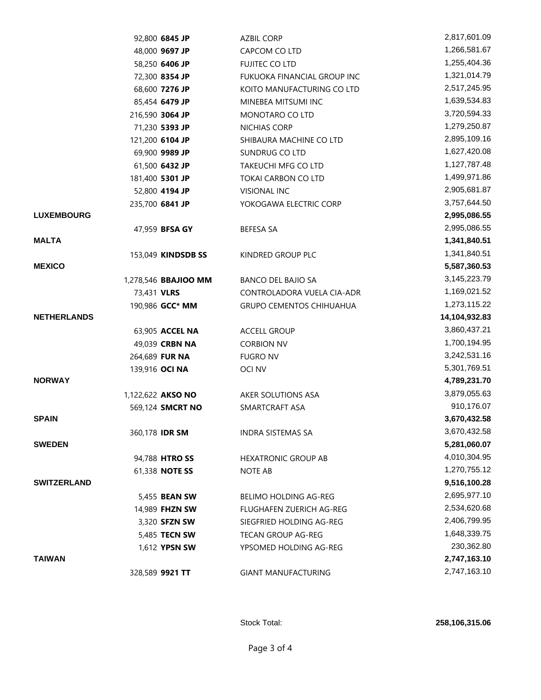|                    | 92,800 6845 JP              | <b>AZBIL CORP</b>               | 2,817,601.09  |
|--------------------|-----------------------------|---------------------------------|---------------|
|                    | 48,000 9697 JP              | CAPCOM CO LTD                   | 1,266,581.67  |
|                    | 58,250 6406 JP              | FUJITEC CO LTD                  | 1,255,404.36  |
|                    | 72,300 8354 JP              | FUKUOKA FINANCIAL GROUP INC     | 1,321,014.79  |
|                    | 68,600 7276 JP              | KOITO MANUFACTURING CO LTD      | 2,517,245.95  |
|                    | 85,454 6479 JP              | MINEBEA MITSUMI INC             | 1,639,534.83  |
|                    | 216,590 3064 JP             | MONOTARO CO LTD                 | 3,720,594.33  |
|                    | 71,230 5393 JP              | NICHIAS CORP                    | 1,279,250.87  |
|                    | 121,200 6104 JP             | SHIBAURA MACHINE CO LTD         | 2,895,109.16  |
|                    | 69,900 9989 JP              | SUNDRUG CO LTD                  | 1,627,420.08  |
|                    | 61,500 6432 JP              | TAKEUCHI MFG CO LTD             | 1,127,787.48  |
|                    | 181,400 5301 JP             | TOKAI CARBON CO LTD             | 1,499,971.86  |
|                    | 52,800 4194 JP              | <b>VISIONAL INC</b>             | 2,905,681.87  |
|                    | 235,700 6841 JP             | YOKOGAWA ELECTRIC CORP          | 3,757,644.50  |
| <b>LUXEMBOURG</b>  |                             |                                 | 2,995,086.55  |
|                    | 47,959 BFSA GY              | <b>BEFESA SA</b>                | 2,995,086.55  |
| <b>MALTA</b>       |                             |                                 | 1,341,840.51  |
|                    | 153,049 KINDSDB SS          | KINDRED GROUP PLC               | 1,341,840.51  |
| <b>MEXICO</b>      |                             |                                 | 5,587,360.53  |
|                    | 1,278,546 <b>BBAJIOO MM</b> | <b>BANCO DEL BAJIO SA</b>       | 3,145,223.79  |
|                    | 73,431 VLRS                 | CONTROLADORA VUELA CIA-ADR      | 1,169,021.52  |
|                    | 190,986 GCC* MM             | <b>GRUPO CEMENTOS CHIHUAHUA</b> | 1,273,115.22  |
| <b>NETHERLANDS</b> |                             |                                 | 14,104,932.83 |
|                    | 63,905 ACCEL NA             | <b>ACCELL GROUP</b>             | 3,860,437.21  |
|                    | 49,039 CRBN NA              | <b>CORBION NV</b>               | 1,700,194.95  |
|                    | 264,689 FUR NA              | <b>FUGRO NV</b>                 | 3,242,531.16  |
|                    | 139,916 OCI NA              | <b>OCI NV</b>                   | 5,301,769.51  |
| <b>NORWAY</b>      |                             |                                 | 4,789,231.70  |
|                    | 1,122,622 AKSO NO           | AKER SOLUTIONS ASA              | 3,879,055.63  |
|                    | 569,124 SMCRT NO            | SMARTCRAFT ASA                  | 910,176.07    |
| <b>SPAIN</b>       |                             |                                 | 3,670,432.58  |
|                    | 360,178 IDR SM              | <b>INDRA SISTEMAS SA</b>        | 3,670,432.58  |
| <b>SWEDEN</b>      |                             |                                 | 5,281,060.07  |
|                    | 94,788 HTRO SS              | <b>HEXATRONIC GROUP AB</b>      | 4,010,304.95  |
|                    | 61,338 NOTE SS              | NOTE AB                         | 1,270,755.12  |
| <b>SWITZERLAND</b> |                             |                                 | 9,516,100.28  |
|                    | 5,455 <b>BEAN SW</b>        | <b>BELIMO HOLDING AG-REG</b>    | 2,695,977.10  |
|                    | 14,989 FHZN SW              | FLUGHAFEN ZUERICH AG-REG        | 2,534,620.68  |
|                    | 3,320 <b>SFZN SW</b>        | SIEGFRIED HOLDING AG-REG        | 2,406,799.95  |
|                    | 5,485 <b>TECN SW</b>        | TECAN GROUP AG-REG              | 1,648,339.75  |
|                    | 1,612 <b>YPSN SW</b>        | YPSOMED HOLDING AG-REG          | 230,362.80    |
| <b>TAIWAN</b>      |                             |                                 | 2,747,163.10  |
|                    | 328,589 9921 TT             | <b>GIANT MANUFACTURING</b>      | 2,747,163.10  |
|                    |                             |                                 |               |